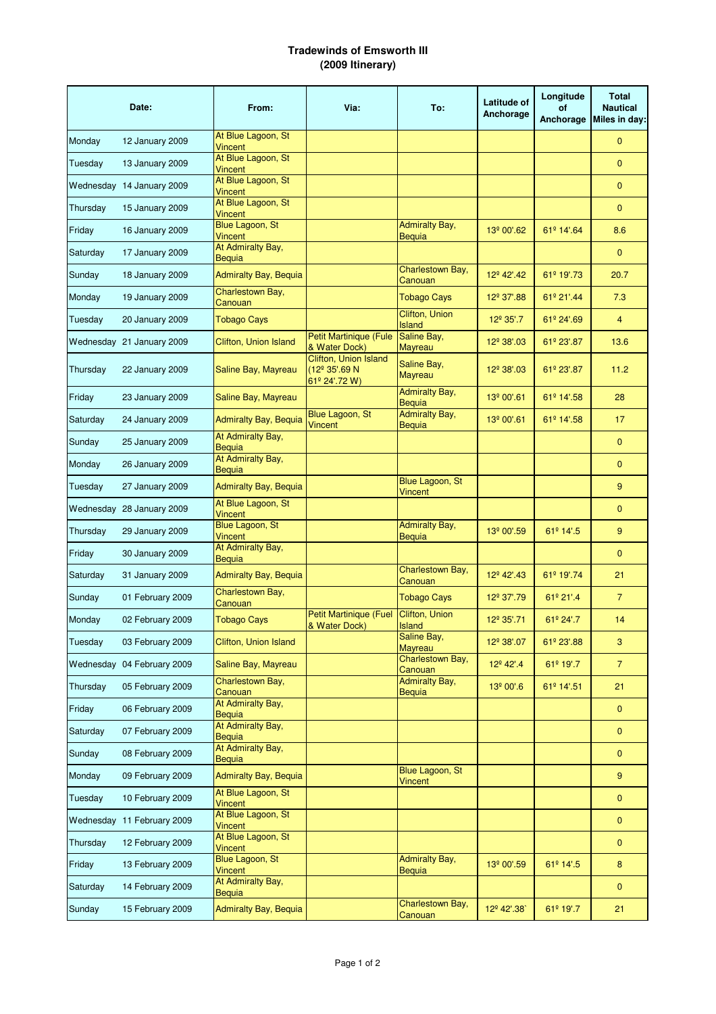## **Tradewinds of Emsworth III (2009 Itinerary)**

|          | Date:                      | From:                                    | Via:                                                                | To:                                    | Latitude of<br>Anchorage | Longitude<br><b>of</b><br>Anchorage | <b>Total</b><br><b>Nautical</b><br>Miles in day: |
|----------|----------------------------|------------------------------------------|---------------------------------------------------------------------|----------------------------------------|--------------------------|-------------------------------------|--------------------------------------------------|
| Monday   | 12 January 2009            | At Blue Lagoon, St<br><b>Vincent</b>     |                                                                     |                                        |                          |                                     | $\mathbf{0}$                                     |
| Tuesday  | 13 January 2009            | At Blue Lagoon, St<br><b>Vincent</b>     |                                                                     |                                        |                          |                                     | $\mathbf{0}$                                     |
|          | Wednesday 14 January 2009  | At Blue Lagoon, St<br><b>Vincent</b>     |                                                                     |                                        |                          |                                     | $\mathbf{0}$                                     |
| Thursday | 15 January 2009            | At Blue Lagoon, St<br><b>Vincent</b>     |                                                                     |                                        |                          |                                     | $\mathbf{0}$                                     |
| Friday   | 16 January 2009            | Blue Lagoon, St<br><b>Vincent</b>        |                                                                     | <b>Admiralty Bay,</b><br>Bequia        | 13 <sup>°</sup> 00'.62   | 61 <sup>°</sup> 14'.64              | 8.6                                              |
| Saturday | 17 January 2009            | At Admiralty Bay,<br>Bequia              |                                                                     |                                        |                          |                                     | $\mathbf{0}$                                     |
| Sunday   | 18 January 2009            | <b>Admiralty Bay, Bequia</b>             |                                                                     | Charlestown Bay,<br>Canouan            | 12 <sup>°</sup> 42'.42   | 61 <sup>º</sup> 19'.73              | 20.7                                             |
| Monday   | 19 January 2009            | Charlestown Bay,<br>Canouan              |                                                                     | <b>Tobago Cays</b>                     | 12 <sup>°</sup> 37'.88   | 61º 21'.44                          | 7.3                                              |
| Tuesday  | <b>20 January 2009</b>     | <b>Tobago Cays</b>                       |                                                                     | Clifton, Union<br>Island               | $12^{\circ} 35'.7$       | $61^{\circ}$ 24'.69                 | $\overline{4}$                                   |
|          | Wednesday 21 January 2009  | <b>Clifton, Union Island</b>             | <b>Petit Martinique (Fule</b><br>& Water Dock)                      | Saline Bay,<br>Mayreau                 | 12 <sup>°</sup> 38'.03   | 61º 23'.87                          | 13.6                                             |
| Thursday | 22 January 2009            | Saline Bay, Mayreau                      | Clifton, Union Island<br>(12 <sup>°</sup> 35'.69 N<br>61º 24'.72 W) | Saline Bay,<br>Mayreau                 | 12 <sup>°</sup> 38'.03   | 61º 23'.87                          | 11.2                                             |
| Friday   | 23 January 2009            | Saline Bay, Mayreau                      |                                                                     | <b>Admiralty Bay,</b><br>Bequia        | 13 <sup>º</sup> 00'.61   | 61º 14'.58                          | 28                                               |
| Saturday | 24 January 2009            | <b>Admiralty Bay, Bequia</b>             | Blue Lagoon, St<br>Vincent                                          | <b>Admiralty Bay,</b><br>Beguia        | 13º 00'.61               | 61º 14'.58                          | 17 <sup>2</sup>                                  |
| Sunday   | 25 January 2009            | At Admiralty Bay,<br>Bequia              |                                                                     |                                        |                          |                                     | $\mathbf{0}$                                     |
| Monday   | 26 January 2009            | At Admiralty Bay,<br>Bequia              |                                                                     |                                        |                          |                                     | $\mathbf{0}$                                     |
| Tuesday  | 27 January 2009            | <b>Admiralty Bay, Bequia</b>             |                                                                     | Blue Lagoon, St<br>Vincent             |                          |                                     | 9                                                |
|          | Wednesday 28 January 2009  | At Blue Lagoon, St<br>Vincent            |                                                                     |                                        |                          |                                     | $\mathbf{0}$                                     |
| Thursday | 29 January 2009            | Blue Lagoon, St<br><b>Vincent</b>        |                                                                     | <b>Admiralty Bay,</b><br><b>Bequia</b> | 13 <sup>°</sup> 00'.59   | 61º 14'.5                           | 9                                                |
| Friday   | 30 January 2009            | At Admiralty Bay,<br>Bequia              |                                                                     |                                        |                          |                                     | $\mathbf{0}$                                     |
| Saturday | 31 January 2009            | <b>Admiralty Bay, Bequia</b>             |                                                                     | Charlestown Bay,<br>Canouan            | 12 <sup>°</sup> 42'.43   | 61 <sup>º</sup> 19'.74              | 21                                               |
| Sunday   | 01 February 2009           | Charlestown Bay,<br>Canouan              |                                                                     | <b>Tobago Cays</b>                     | 12 <sup>°</sup> 37'.79   | $61^{\circ}$ 21'.4                  | $\overline{7}$                                   |
| Monday   | 02 February 2009           | <b>Tobago Cays</b>                       | <b>Petit Martinique (Fuel</b><br>& Water Dock)                      | Clifton, Union<br>Island               | 12 <sup>°</sup> 35'.71   | 61º 24'.7                           | 14                                               |
| Tuesday  | 03 February 2009           | Clifton, Union Island                    |                                                                     | Saline Bay,<br>Mayreau                 | 12 <sup>°</sup> 38'.07   | 61 <sup>°</sup> 23'.88              | 3                                                |
|          | Wednesday 04 February 2009 | Saline Bay, Mayreau                      |                                                                     | Charlestown Bay,<br>Canouan            | 12 <sup>°</sup> 42'.4    | 61 <sup>º</sup> 19'.7               | $\overline{7}$                                   |
| Thursday | 05 February 2009           | Charlestown Bay,<br>Canouan              |                                                                     | <b>Admiralty Bay,</b><br><b>Bequia</b> | 13 <sup>º</sup> 00'.6    | 61º 14'.51                          | 21                                               |
| Friday   | 06 February 2009           | At Admiralty Bay,<br>Bequia              |                                                                     |                                        |                          |                                     | $\mathbf{0}$                                     |
| Saturday | 07 February 2009           | At Admiralty Bay,<br>Bequia              |                                                                     |                                        |                          |                                     | 0                                                |
| Sunday   | 08 February 2009           | At Admiralty Bay,<br>Bequia              |                                                                     |                                        |                          |                                     | $\mathbf{0}$                                     |
| Monday   | 09 February 2009           | <b>Admiralty Bay, Bequia</b>             |                                                                     | Blue Lagoon, St<br><b>Vincent</b>      |                          |                                     | 9                                                |
| Tuesday  | 10 February 2009           | At Blue Lagoon, St<br><b>Vincent</b>     |                                                                     |                                        |                          |                                     | $\mathbf{0}$                                     |
|          | Wednesday 11 February 2009 | At Blue Lagoon, St<br>Vincent            |                                                                     |                                        |                          |                                     | $\pmb{0}$                                        |
| Thursday | 12 February 2009           | At Blue Lagoon, St<br>Vincent            |                                                                     |                                        |                          |                                     | $\pmb{0}$                                        |
| Friday   | 13 February 2009           | <b>Blue Lagoon, St</b><br><b>Vincent</b> |                                                                     | <b>Admiralty Bay,</b><br>Bequia        | 13 <sup>°</sup> 00'.59   | 61º 14'.5                           | 8                                                |
| Saturday | 14 February 2009           | At Admiralty Bay,<br>Bequia              |                                                                     |                                        |                          |                                     | $\mathbf{0}$                                     |
| Sunday   | 15 February 2009           | <b>Admiralty Bay, Bequia</b>             |                                                                     | Charlestown Bay,<br>Canouan            | 12 <sup>°</sup> 42'.38   | 61 <sup>º</sup> 19'.7               | 21                                               |